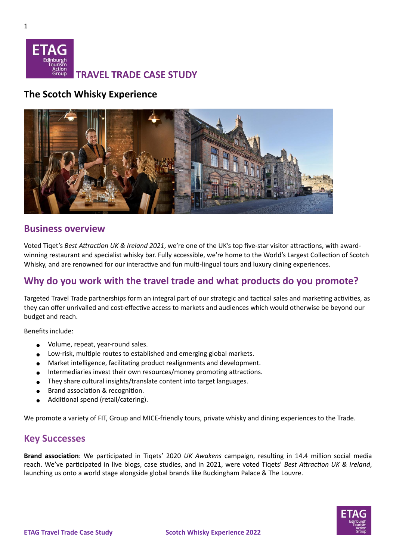

## **The Scotch Whisky Experience**



#### **Business overview**

Voted Tiqet's *Best Attraction UK & Ireland 2021*, we're one of the UK's top five-star visitor attractions, with awardwinning restaurant and specialist whisky bar. Fully accessible, we're home to the World's Largest Collection of Scotch Whisky, and are renowned for our interactive and fun multi-lingual tours and luxury dining experiences.

# **Why do you work with the travel trade and what products do you promote?**

Targeted Travel Trade partnerships form an integral part of our strategic and tactical sales and marketing activities, as they can offer unrivalled and cost-effective access to markets and audiences which would otherwise be beyond our budget and reach.

Benefits include:

- Volume, repeat, year-round sales.
- Low-risk, multiple routes to established and emerging global markets.
- Market intelligence, facilitating product realignments and development.
- Intermediaries invest their own resources/money promoting attractions.
- They share cultural insights/translate content into target languages.
- Brand association & recognition.
- Additional spend (retail/catering).

We promote a variety of FIT, Group and MICE-friendly tours, private whisky and dining experiences to the Trade.

### **Key Successes**

**Brand association**: We participated in Tiqets' 2020 *UK Awakens* campaign, resulting in 14.4 million social media reach. We've participated in live blogs, case studies, and in 2021, were voted Tiqets' *Best Attraction UK & Ireland*, launching us onto a world stage alongside global brands like Buckingham Palace & The Louvre.